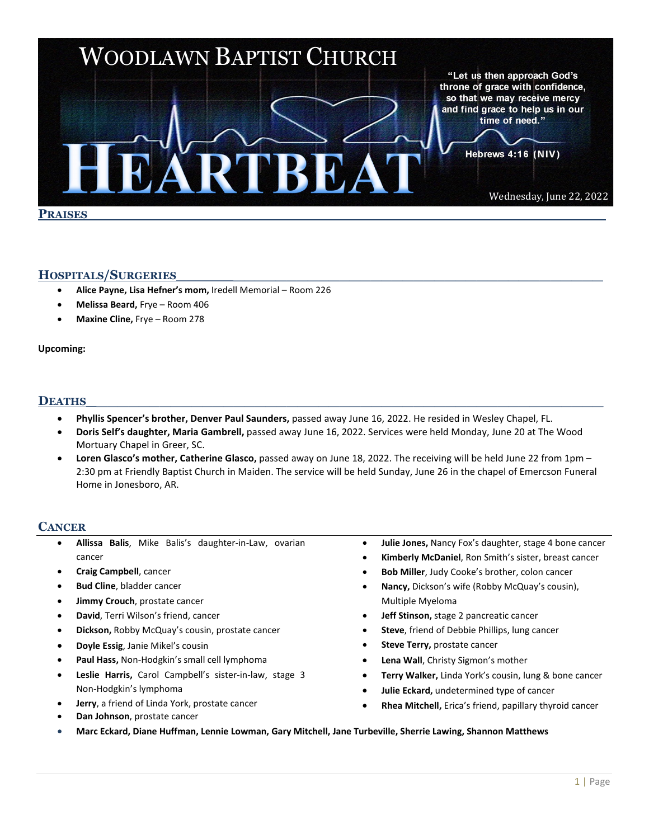

### **HOSPITALS/SURGERIES**\_\_\_\_\_\_\_\_\_\_\_\_\_\_\_\_\_\_\_\_\_\_\_\_\_\_\_\_\_\_\_\_\_\_\_\_\_\_\_\_\_

- **Alice Payne, Lisa Hefner's mom,** Iredell Memorial Room 226
- **Melissa Beard,** Frye Room 406
- **Maxine Cline,** Frye Room 278

#### **Upcoming:**

# **DEATHS\_**\_\_\_\_\_\_\_\_\_\_\_\_\_\_\_\_\_\_\_\_\_\_\_\_\_\_\_\_\_\_\_\_\_\_\_\_\_\_\_\_\_\_\_\_\_\_\_\_

- **Phyllis Spencer's brother, Denver Paul Saunders,** passed away June 16, 2022. He resided in Wesley Chapel, FL.
- **Doris Self's daughter, Maria Gambrell,** passed away June 16, 2022. Services were held Monday, June 20 at The Wood Mortuary Chapel in Greer, SC.
- **Loren Glasco's mother, Catherine Glasco,** passed away on June 18, 2022. The receiving will be held June 22 from 1pm 2:30 pm at Friendly Baptist Church in Maiden. The service will be held Sunday, June 26 in the chapel of Emercson Funeral Home in Jonesboro, AR.

#### **CANCER**

- **Allissa Balis**, Mike Balis's daughter-in-Law, ovarian cancer
- **Craig Campbell**, cancer
- **Bud Cline**, bladder cancer
- **Jimmy Crouch**, prostate cancer
- **David**, Terri Wilson's friend, cancer
- **Dickson,** Robby McQuay's cousin, prostate cancer
- **Doyle Essig**, Janie Mikel's cousin
- **Paul Hass,** Non-Hodgkin's small cell lymphoma
- **Leslie Harris,** Carol Campbell's sister-in-law, stage 3 Non-Hodgkin's lymphoma
- **Jerry**, a friend of Linda York, prostate cancer
- **Dan Johnson**, prostate cancer
- **Julie Jones,** Nancy Fox's daughter, stage 4 bone cancer
- **Kimberly McDaniel**, Ron Smith's sister, breast cancer
- **Bob Miller**, Judy Cooke's brother, colon cancer
- **Nancy,** Dickson's wife (Robby McQuay's cousin), Multiple Myeloma
- **Jeff Stinson,** stage 2 pancreatic cancer
- **Steve**, friend of Debbie Phillips, lung cancer
- **Steve Terry, prostate cancer**
- Lena Wall, Christy Sigmon's mother
- **Terry Walker,** Linda York's cousin, lung & bone cancer
- **Julie Eckard,** undetermined type of cancer
- **Rhea Mitchell,** Erica's friend, papillary thyroid cancer
- **Marc Eckard, Diane Huffman, Lennie Lowman, Gary Mitchell, Jane Turbeville, Sherrie Lawing, Shannon Matthews**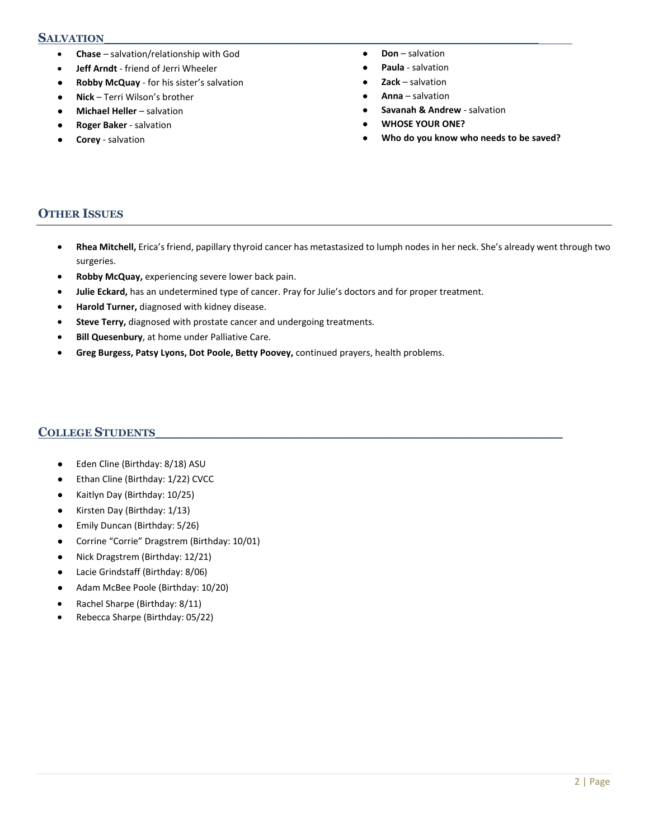#### S**ALVATION**

- **Chase**  salvation/relationship with God
- **Jeff Arndt** friend of Jerri Wheeler
- **Robby McQuay** for his sister's salvation
- **Nick** Terri Wilson's brother
- **Michael Heller** salvation
- **Roger Baker** salvation
- **Corey** salvation
- **Don** salvation
- **Paula** salvation
- **Zack** salvation
- **Anna** salvation
- **Savanah & Andrew** salvation
- **WHOSE YOUR ONE?**
- Who do you know who needs to be saved?

### **OTHER ISSUES**

- **Rhea Mitchell,** Erica's friend, papillary thyroid cancer has metastasized to lumph nodes in her neck. She's already went through two surgeries.
- **Robby McQuay,** experiencing severe lower back pain.
- **Julie Eckard,** has an undetermined type of cancer. Pray for Julie's doctors and for proper treatment.
- **Harold Turner,** diagnosed with kidney disease.
- **Steve Terry,** diagnosed with prostate cancer and undergoing treatments.
- **Bill Quesenbury**, at home under Palliative Care.
- **Greg Burgess, Patsy Lyons, Dot Poole, Betty Poovey,** continued prayers, health problems.

### **COLLEGE STUDENTS**\_\_\_\_\_\_\_\_\_\_\_\_\_\_\_\_\_\_\_\_\_\_\_\_\_\_\_\_\_\_\_\_\_\_\_\_\_\_\_\_\_\_\_\_\_\_

- Eden Cline (Birthday: 8/18) ASU
- Ethan Cline (Birthday: 1/22) CVCC
- Kaitlyn Day (Birthday: 10/25)
- Kirsten Day (Birthday: 1/13)
- Emily Duncan (Birthday: 5/26)
- Corrine "Corrie" Dragstrem (Birthday: 10/01)
- Nick Dragstrem (Birthday: 12/21)
- Lacie Grindstaff (Birthday: 8/06)
- Adam McBee Poole (Birthday: 10/20)
- Rachel Sharpe (Birthday: 8/11)
- Rebecca Sharpe (Birthday: 05/22)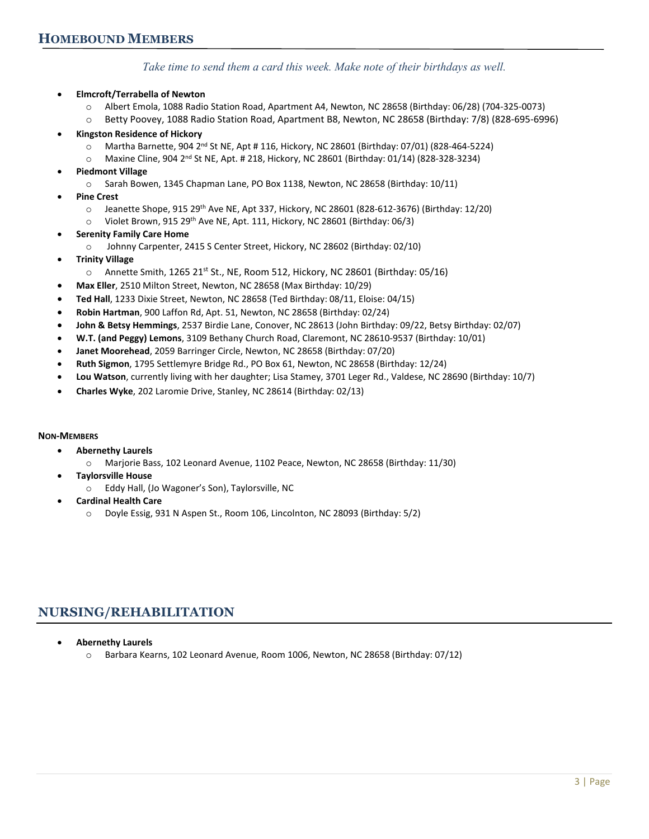*Take time to send them a card this week. Make note of their birthdays as well.*

- **Elmcroft/Terrabella of Newton**
	- o Albert Emola, 1088 Radio Station Road, Apartment A4, Newton, NC 28658 (Birthday: 06/28) (704-325-0073)
	- o Betty Poovey, 1088 Radio Station Road, Apartment B8, Newton, NC 28658 (Birthday: 7/8) (828-695-6996)
- **Kingston Residence of Hickory**
	- o Martha Barnette, 904 2nd St NE, Apt # 116, Hickory, NC 28601 (Birthday: 07/01) (828-464-5224)
	- $\circ$  Maxine Cline, 904 2<sup>nd</sup> St NE, Apt. # 218, Hickory, NC 28601 (Birthday: 01/14) (828-328-3234)
	- **Piedmont Village**
		- o Sarah Bowen, 1345 Chapman Lane, PO Box 1138, Newton, NC 28658 (Birthday: 10/11)
- **Pine Crest** 
	- o Jeanette Shope, 915 29th Ave NE, Apt 337, Hickory, NC 28601 (828-612-3676) (Birthday: 12/20)
	- o Violet Brown, 915 29th Ave NE, Apt. 111, Hickory, NC 28601 (Birthday: 06/3)
- **Serenity Family Care Home** 
	- o Johnny Carpenter, 2415 S Center Street, Hickory, NC 28602 (Birthday: 02/10)
- **Trinity Village**
	- $\circ$  Annette Smith, 1265 21<sup>st</sup> St., NE, Room 512, Hickory, NC 28601 (Birthday: 05/16)
- **Max Eller**, 2510 Milton Street, Newton, NC 28658 (Max Birthday: 10/29)
- **Ted Hall**, 1233 Dixie Street, Newton, NC 28658 (Ted Birthday: 08/11, Eloise: 04/15)
- **Robin Hartman**, 900 Laffon Rd, Apt. 51, Newton, NC 28658 (Birthday: 02/24)
- **John & Betsy Hemmings**, 2537 Birdie Lane, Conover, NC 28613 (John Birthday: 09/22, Betsy Birthday: 02/07)
- **W.T. (and Peggy) Lemons**, 3109 Bethany Church Road, Claremont, NC 28610-9537 (Birthday: 10/01)
- **Janet Moorehead**, 2059 Barringer Circle, Newton, NC 28658 (Birthday: 07/20)
- **Ruth Sigmon**, 1795 Settlemyre Bridge Rd., PO Box 61, Newton, NC 28658 (Birthday: 12/24)
- **Lou Watson**, currently living with her daughter; Lisa Stamey, 3701 Leger Rd., Valdese, NC 28690 (Birthday: 10/7)
- **Charles Wyke**, 202 Laromie Drive, Stanley, NC 28614 (Birthday: 02/13)

#### **NON-MEMBERS**

- **Abernethy Laurels** 
	- o Marjorie Bass, 102 Leonard Avenue, 1102 Peace, Newton, NC 28658 (Birthday: 11/30)
- **Taylorsville House**
	- o Eddy Hall, (Jo Wagoner's Son), Taylorsville, NC
- **Cardinal Health Care**
	- o Doyle Essig, 931 N Aspen St., Room 106, Lincolnton, NC 28093 (Birthday: 5/2)

### **NURSING/REHABILITATION**

- **Abernethy Laurels**
	- o Barbara Kearns, 102 Leonard Avenue, Room 1006, Newton, NC 28658 (Birthday: 07/12)